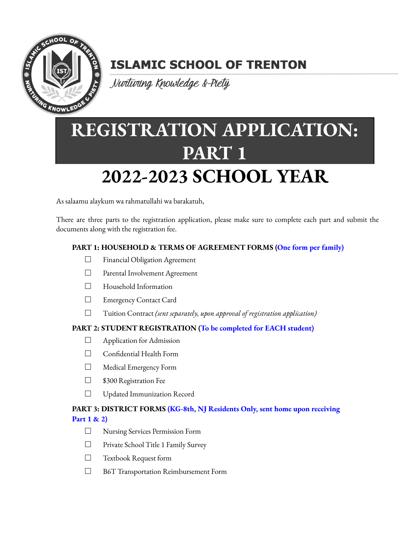

## **ISLAMIC SCHOOL OF TRENTON**

Nurturing Knowledge & Piety

# **REGISTRATION APPLICATION: PART 1**

# **2022-2023 SCHOOL YEAR**

As salaamu alaykum wa rahmatullahi wa barakatuh,

There are three parts to the registration application, please make sure to complete each part and submit the documents along with the registration fee.

## **PART 1: HOUSEHOLD & TERMS OF AGREEMENT FORMS (One form per family)**

- □ Financial Obligation Agreement
- □ Parental Involvement Agreement
- □ Household Information
- □ Emergency Contact Card
- □ Tuition Contract *(sent separately, upon approval of registration application)*

#### **PART 2: STUDENT REGISTRATION (To be completed for EACH student)**

- □ Application for Admission
- □ Confidential Health Form
- □ Medical Emergency Form
- □ \$300 Registration Fee
- □ Updated Immunization Record

## **PART 3: DISTRICT FORMS (KG-8th, NJ Residents Only, sent home upon receiving Part 1 & 2)**

- □ Nursing Services Permission Form
- □ Private School Title 1 Family Survey
- □ Textbook Request form
- □ B6T Transportation Reimbursement Form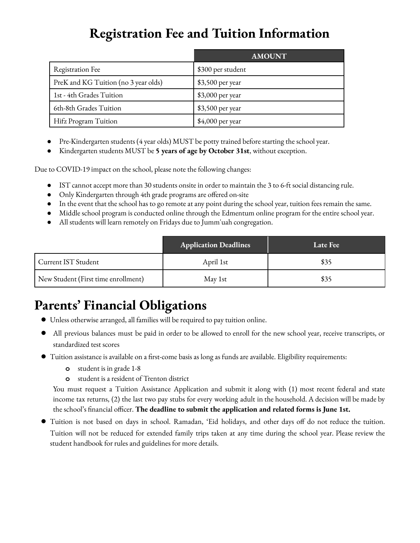## **Registration Fee and Tuition Information**

|                                      | <b>AMOUNT</b>     |
|--------------------------------------|-------------------|
| <b>Registration Fee</b>              | \$300 per student |
| PreK and KG Tuition (no 3 year olds) | \$3,500 per year  |
| 1st - 4th Grades Tuition             | $$3,000$ per year |
| 6th-8th Grades Tuition               | \$3,500 per year  |
| Hifz Program Tuition                 | \$4,000 per year  |

- Pre-Kindergarten students (4 year olds) MUST be potty trained before starting the school year.
- Kindergarten students MUST be **5 years of age by October 31st**, without exception.

Due to COVID-19 impact on the school, please note the following changes:

- IST cannot accept more than 30 students onsite in order to maintain the 3 to 6-ft social distancing rule.
- Only Kindergarten through 4th grade programs are offered on-site
- In the event that the school has to go remote at any point during the school year, tuition fees remain the same.
- Middle school program is conducted online through the Edmentum online program for the entire school year.
- All students will learn remotely on Fridays due to Jumm'uah congregation.

|                                     | <b>Application Deadlines</b> | Late Fee |
|-------------------------------------|------------------------------|----------|
| Current IST Student                 | April 1st                    | \$35     |
| New Student (First time enrollment) | May 1st                      | \$35     |

## **Parents' Financial Obligations**

- Unless otherwise arranged, all families will be required to pay tuition online.
- All previous balances must be paid in order to be allowed to enroll for the new school year, receive transcripts, or standardized test scores
- **●** Tuition assistance is available on a first-come basis as long as funds are available. Eligibility requirements:
	- **o** student is in grade 1-8
	- **o** student is a resident of Trenton district

You must request a Tuition Assistance Application and submit it along with (1) most recent federal and state income tax returns, (2) the last two pay stubs for every working adult in the household. A decision will be made by the school's financial officer. **The deadline to submit the application and related forms is June 1st.**

● Tuition is not based on days in school. Ramadan, 'Eid holidays, and other days off do not reduce the tuition. Tuition will not be reduced for extended family trips taken at any time during the school year. Please review the student handbook for rules and guidelines for more details.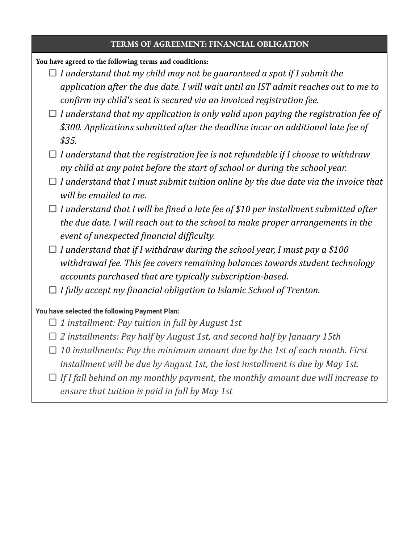#### **TERMS OF AGREEMENT: FINANCIAL OBLIGATION**

#### **You have agreed to the following terms and conditions:**

- *I understand that my child may not be guaranteed a spot if I submit the application after the due date. I will wait until an IST admit reaches out to me to confirm my child's seat is secured via an invoiced registration fee.*
- *I understand that my application is only valid upon paying the registration fee of \$300. Applications submitted after the deadline incur an additional late fee of \$35.*
- *I understand that the registration fee is not refundable if I choose to withdraw my child at any point before the start of school or during the school year.*
- *I understand that I must submit tuition online by the due date via the invoice that will be emailed to me.*
- *I understand that I will be fined a late fee of \$10 per installment submitted after the due date. I will reach out to the school to make proper arrangements in the event of unexpected financial dif iculty.*
- *I understand that if I withdraw during the school year, I must pay a \$100 withdrawal fee. This fee covers remaining balances towards student technology accounts purchased that are typically subscription-based.*
- *I fully accept my financial obligation to Islamic School of Trenton.*

#### **You have selected the following Payment Plan:**

- *1 installment: Pay tuition in full by August 1st*
- *2 installments: Pay half by August 1st, and second half by January 15th*
- *10 installments: Pay the minimum amount due by the 1st of each month. First installment will be due by August 1st, the last installment is due by May 1st.*
- *If I fall behind on my monthly payment, the monthly amount due will increase to ensure that tuition is paid in full by May 1st*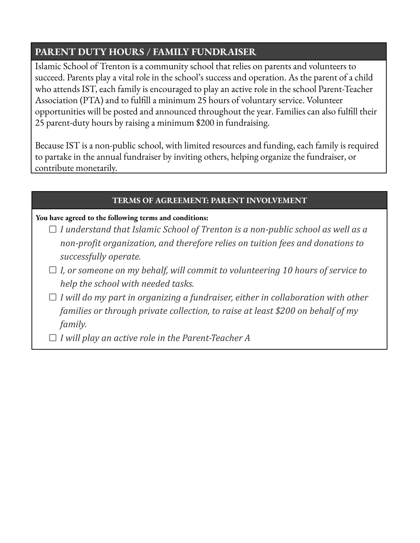## **PARENT DUTY HOURS / FAMILY FUNDRAISER**

Islamic School of Trenton is a community school that relies on parents and volunteers to succeed. Parents play a vital role in the school's success and operation. As the parent of a child who attends IST, each family is encouraged to play an active role in the school Parent-Teacher Association (PTA) and to fulfill a minimum 25 hours of voluntary service. Volunteer opportunities will be posted and announced throughout the year. Families can also fulfill their 25 parent-duty hours by raising a minimum \$200 in fundraising.

Because IST is a non-public school, with limited resources and funding, each family is required to partake in the annual fundraiser by inviting others, helping organize the fundraiser, or contribute monetarily.

## **TERMS OF AGREEMENT: PARENT INVOLVEMENT**

## **You have agreed to the following terms and conditions:**

- *I understand that Islamic School of Trenton is a non-public school as well as a non-profit organization, and therefore relies on tuition fees and donations to successfully operate.*
- *I, or someone on my behalf, will commit to volunteering 10 hours of service to help the school with needed tasks.*
- *I will do my part in organizing a fundraiser, either in collaboration with other families or through private collection, to raise at least \$200 on behalf of my family.*
- *I will play an active role in the Parent-Teacher A*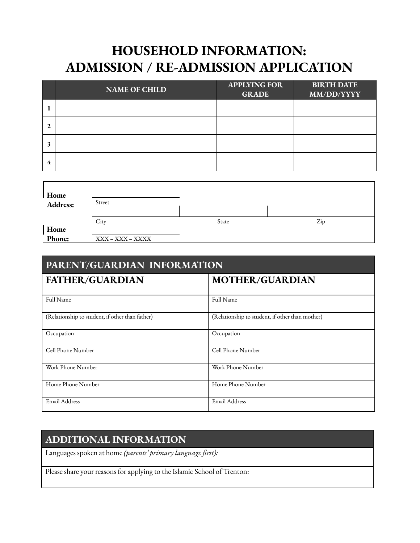## **HOUSEHOLD INFORMATION: ADMISSION / RE-ADMISSION APPLICATION**

|              | <b>NAME OF CHILD</b> | <b>APPLYING FOR</b><br><b>GRADE</b> | <b>BIRTH DATE</b><br>MM/DD/YYYY |
|--------------|----------------------|-------------------------------------|---------------------------------|
|              |                      |                                     |                                 |
| $\mathbf{2}$ |                      |                                     |                                 |
| 3            |                      |                                     |                                 |
| 4            |                      |                                     |                                 |

| Home<br>Address: | Street           |       |     |
|------------------|------------------|-------|-----|
|                  | City             | State | Zip |
| Home<br>Phone:   |                  |       |     |
|                  | XXX – XXX – XXXX |       |     |

| <b>PARENT/GUARDIAN INFORMATION</b>              |                                                 |  |
|-------------------------------------------------|-------------------------------------------------|--|
| <b>FATHER/GUARDIAN</b>                          | <b>MOTHER/GUARDIAN</b>                          |  |
| Full Name                                       | Full Name                                       |  |
| (Relationship to student, if other than father) | (Relationship to student, if other than mother) |  |
| Occupation                                      | Occupation                                      |  |
| Cell Phone Number                               | Cell Phone Number                               |  |
| Work Phone Number                               | Work Phone Number                               |  |
| Home Phone Number                               | Home Phone Number                               |  |
| <b>Email Address</b>                            | Email Address                                   |  |

## **ADDITIONAL INFORMATION**

Languages spoken at home *(parents' primary language first):*

Please share your reasons for applying to the Islamic School of Trenton: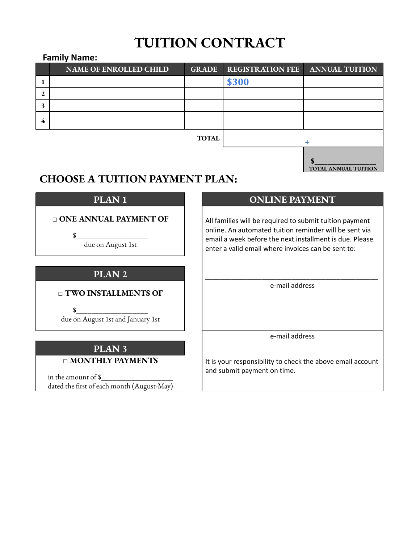## **TUITION CONTRACT**

## **Family Name:**

|              | <b>NAME OF ENROLLED CHILD</b> | <b>GRADE</b> | <b>REGISTRATION FEE</b> | <b>ANNUAL TUITION</b> |
|--------------|-------------------------------|--------------|-------------------------|-----------------------|
|              |                               |              | \$300                   |                       |
| $\mathbf{2}$ |                               |              |                         |                       |
| 3            |                               |              |                         |                       |
| 4            |                               |              |                         |                       |
|              |                               | <b>TOTAL</b> |                         |                       |
|              |                               |              |                         |                       |

**TOTAL ANNUAL TUITION**

## **CHOOSE A TUITION PAYMENT PLAN:**

## **□ ONE ANNUAL PAYMENT OF**

 $\frac{\frac{1}{2}^{2} + \frac{1}{2}^{2} + \frac{1}{2}^{2} + \frac{1}{2}^{2} + \frac{1}{2}^{2} + \frac{1}{2}^{2} + \frac{1}{2}^{2} + \frac{1}{2}^{2} + \frac{1}{2}^{2} + \frac{1}{2}^{2} + \frac{1}{2}^{2} + \frac{1}{2}^{2} + \frac{1}{2}^{2} + \frac{1}{2}^{2} + \frac{1}{2}^{2} + \frac{1}{2}^{2} + \frac{1}{2}^{2} + \frac{1}{2}^{2} + \frac{1}{2}^{2} + \frac{1}{2}^{2$ due on August 1st

## **PLAN 2**

## **□ TWO INSTALLMENTS OF**

 $\frac{1}{2}$ due on August 1st and January 1st

## **PLAN 3**

## **□ MONTHLY PAYMENTS**

in the amount of \$ dated the first of each month (August-May)

## **PLAN 1 ONLINE PAYMENT**

All families will be required to submit tuition payment online. An automated tuition reminder will be sent via email a week before the next installment is due. Please enter a valid email where invoices can be sent to:

\_\_\_\_\_\_\_\_\_\_\_\_\_\_\_\_\_\_\_\_\_\_\_\_\_\_\_\_\_\_\_\_\_\_\_\_\_\_\_\_\_\_\_\_\_\_ e-mail address

e-mail address

It is your responsibility to check the above email account and submit payment on time.